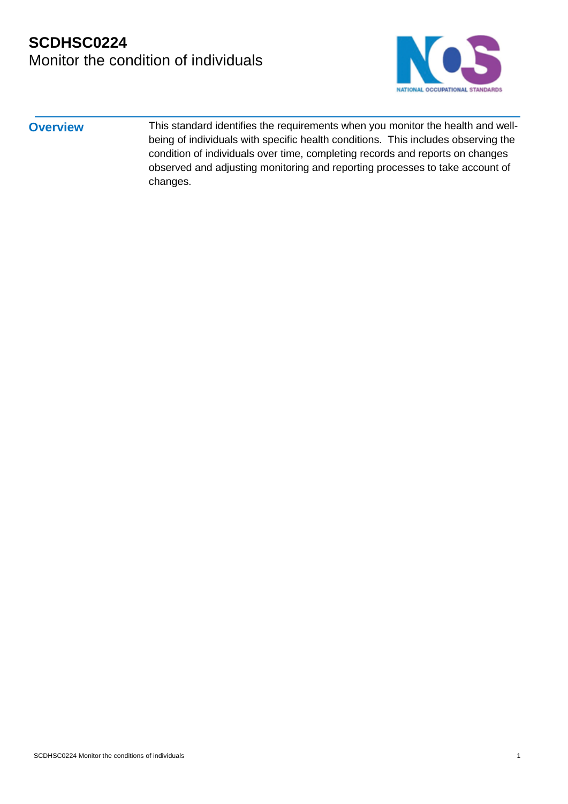

**Overview** This standard identifies the requirements when you monitor the health and wellbeing of individuals with specific health conditions. This includes observing the condition of individuals over time, completing records and reports on changes observed and adjusting monitoring and reporting processes to take account of changes.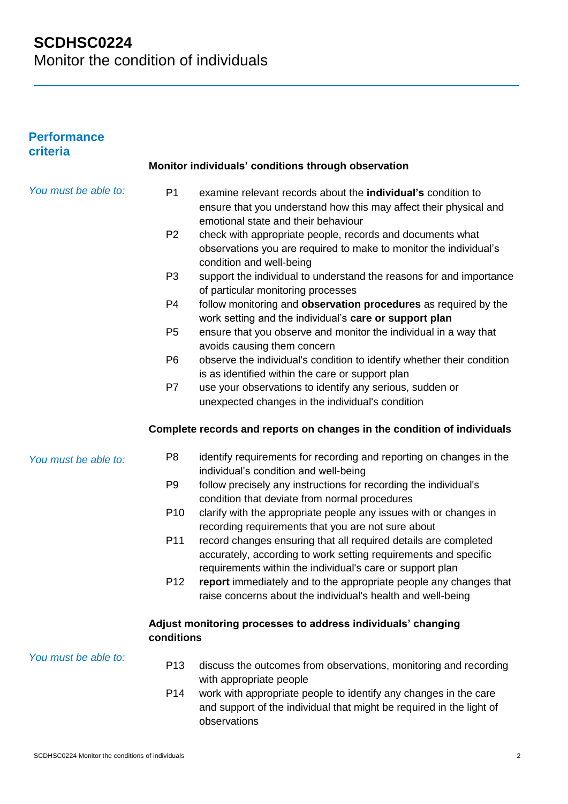| <b>Performance</b><br>criteria |                 |                                                                                                                                                                                                 |
|--------------------------------|-----------------|-------------------------------------------------------------------------------------------------------------------------------------------------------------------------------------------------|
|                                |                 | Monitor individuals' conditions through observation                                                                                                                                             |
| You must be able to:           | P <sub>1</sub>  | examine relevant records about the <b>individual's</b> condition to<br>ensure that you understand how this may affect their physical and<br>emotional state and their behaviour                 |
|                                | P <sub>2</sub>  | check with appropriate people, records and documents what<br>observations you are required to make to monitor the individual's<br>condition and well-being                                      |
|                                | P <sub>3</sub>  | support the individual to understand the reasons for and importance<br>of particular monitoring processes                                                                                       |
|                                | P <sub>4</sub>  | follow monitoring and observation procedures as required by the<br>work setting and the individual's care or support plan                                                                       |
|                                | P <sub>5</sub>  | ensure that you observe and monitor the individual in a way that<br>avoids causing them concern                                                                                                 |
|                                | P <sub>6</sub>  | observe the individual's condition to identify whether their condition<br>is as identified within the care or support plan                                                                      |
|                                | P7              | use your observations to identify any serious, sudden or<br>unexpected changes in the individual's condition                                                                                    |
|                                |                 | Complete records and reports on changes in the condition of individuals                                                                                                                         |
| You must be able to:           | P <sub>8</sub>  | identify requirements for recording and reporting on changes in the<br>individual's condition and well-being                                                                                    |
|                                | P <sub>9</sub>  | follow precisely any instructions for recording the individual's<br>condition that deviate from normal procedures                                                                               |
|                                | P <sub>10</sub> | clarify with the appropriate people any issues with or changes in<br>recording requirements that you are not sure about                                                                         |
|                                | P11             | record changes ensuring that all required details are completed<br>accurately, according to work setting requirements and specific<br>requirements within the individual's care or support plan |
|                                | P <sub>12</sub> | report immediately and to the appropriate people any changes that<br>raise concerns about the individual's health and well-being                                                                |
|                                | conditions      | Adjust monitoring processes to address individuals' changing                                                                                                                                    |
| You must be able to:           | P <sub>13</sub> | discuss the outcomes from observations, monitoring and recording<br>with appropriate people                                                                                                     |
|                                | P14             | work with appropriate people to identify any changes in the care<br>and support of the individual that might be required in the light of<br>observations                                        |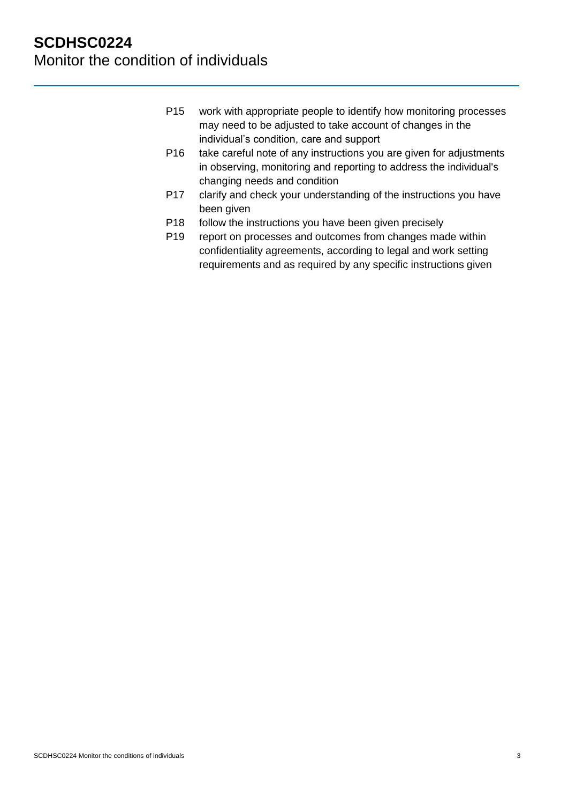- P15 work with appropriate people to identify how monitoring processes may need to be adjusted to take account of changes in the individual's condition, care and support
- P16 take careful note of any instructions you are given for adjustments in observing, monitoring and reporting to address the individual's changing needs and condition
- P17 clarify and check your understanding of the instructions you have been given
- P18 follow the instructions you have been given precisely
- P19 report on processes and outcomes from changes made within confidentiality agreements, according to legal and work setting requirements and as required by any specific instructions given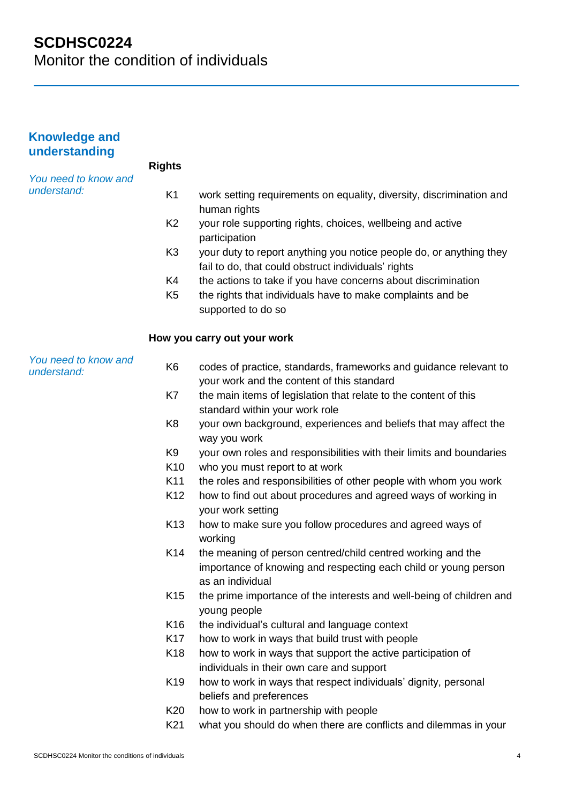| <b>Knowledge and</b><br>understanding |                 |                                                                                                                                                    |
|---------------------------------------|-----------------|----------------------------------------------------------------------------------------------------------------------------------------------------|
|                                       | <b>Rights</b>   |                                                                                                                                                    |
| You need to know and<br>understand:   | K <sub>1</sub>  | work setting requirements on equality, diversity, discrimination and<br>human rights                                                               |
|                                       | K <sub>2</sub>  | your role supporting rights, choices, wellbeing and active<br>participation                                                                        |
|                                       | K <sub>3</sub>  | your duty to report anything you notice people do, or anything they<br>fail to do, that could obstruct individuals' rights                         |
|                                       | K4              | the actions to take if you have concerns about discrimination                                                                                      |
|                                       | K <sub>5</sub>  | the rights that individuals have to make complaints and be<br>supported to do so                                                                   |
|                                       |                 | How you carry out your work                                                                                                                        |
| You need to know and<br>understand:   | K <sub>6</sub>  | codes of practice, standards, frameworks and guidance relevant to<br>your work and the content of this standard                                    |
|                                       | K7              | the main items of legislation that relate to the content of this<br>standard within your work role                                                 |
|                                       | K <sub>8</sub>  | your own background, experiences and beliefs that may affect the<br>way you work                                                                   |
|                                       | K <sub>9</sub>  | your own roles and responsibilities with their limits and boundaries                                                                               |
|                                       | K10             | who you must report to at work                                                                                                                     |
|                                       | K11             | the roles and responsibilities of other people with whom you work                                                                                  |
|                                       | K <sub>12</sub> | how to find out about procedures and agreed ways of working in<br>your work setting                                                                |
|                                       | K <sub>13</sub> | how to make sure you follow procedures and agreed ways of<br>working                                                                               |
|                                       | K14             | the meaning of person centred/child centred working and the<br>importance of knowing and respecting each child or young person<br>as an individual |
|                                       | K <sub>15</sub> | the prime importance of the interests and well-being of children and<br>young people                                                               |
|                                       | K16             | the individual's cultural and language context                                                                                                     |
|                                       | K <sub>17</sub> | how to work in ways that build trust with people                                                                                                   |
|                                       | K <sub>18</sub> | how to work in ways that support the active participation of                                                                                       |
|                                       |                 | individuals in their own care and support                                                                                                          |
|                                       | K19             | how to work in ways that respect individuals' dignity, personal<br>beliefs and preferences                                                         |
|                                       | K <sub>20</sub> | how to work in partnership with people                                                                                                             |
|                                       | K21             | what you should do when there are conflicts and dilemmas in your                                                                                   |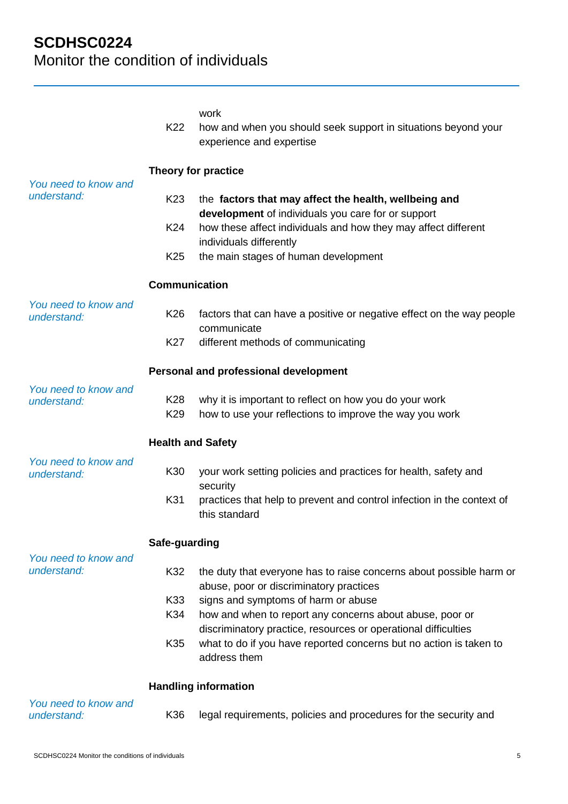|                                     | K <sub>22</sub>                       | work<br>how and when you should seek support in situations beyond your<br>experience and expertise                                                   |  |
|-------------------------------------|---------------------------------------|------------------------------------------------------------------------------------------------------------------------------------------------------|--|
| You need to know and                | Theory for practice                   |                                                                                                                                                      |  |
| understand:                         | K23                                   | the factors that may affect the health, wellbeing and<br>development of individuals you care for or support                                          |  |
|                                     | K24                                   | how these affect individuals and how they may affect different<br>individuals differently                                                            |  |
|                                     | K <sub>25</sub>                       | the main stages of human development                                                                                                                 |  |
|                                     | <b>Communication</b>                  |                                                                                                                                                      |  |
| You need to know and<br>understand: | K <sub>26</sub>                       | factors that can have a positive or negative effect on the way people<br>communicate                                                                 |  |
|                                     | K27                                   | different methods of communicating                                                                                                                   |  |
|                                     | Personal and professional development |                                                                                                                                                      |  |
| You need to know and<br>understand: | K <sub>28</sub><br>K <sub>29</sub>    | why it is important to reflect on how you do your work<br>how to use your reflections to improve the way you work                                    |  |
|                                     | <b>Health and Safety</b>              |                                                                                                                                                      |  |
| You need to know and<br>understand: | K30                                   | your work setting policies and practices for health, safety and<br>security                                                                          |  |
|                                     | K31                                   | practices that help to prevent and control infection in the context of<br>this standard                                                              |  |
|                                     | Safe-guarding                         |                                                                                                                                                      |  |
| You need to know and<br>understand: | K32                                   | the duty that everyone has to raise concerns about possible harm or<br>abuse, poor or discriminatory practices                                       |  |
|                                     | K33<br>K34                            | signs and symptoms of harm or abuse<br>how and when to report any concerns about abuse, poor or                                                      |  |
|                                     | K35                                   | discriminatory practice, resources or operational difficulties<br>what to do if you have reported concerns but no action is taken to<br>address them |  |
|                                     | <b>Handling information</b>           |                                                                                                                                                      |  |
| You need to know and<br>understand: | K36                                   | legal requirements, policies and procedures for the security and                                                                                     |  |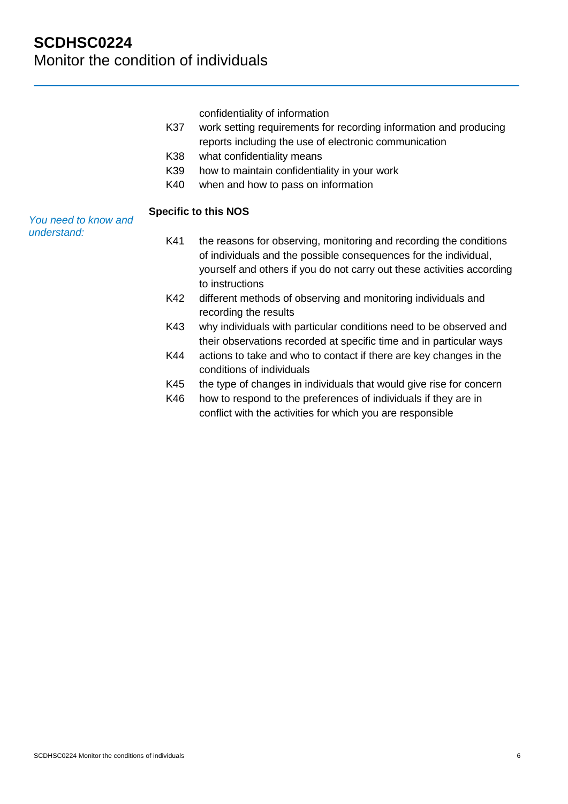confidentiality of information

- K37 work setting requirements for recording information and producing reports including the use of electronic communication
- K38 what confidentiality means
- K39 how to maintain confidentiality in your work
- K40 when and how to pass on information

#### **Specific to this NOS**

*You need to know and understand:*

- K41 the reasons for observing, monitoring and recording the conditions of individuals and the possible consequences for the individual, yourself and others if you do not carry out these activities according to instructions
- K42 different methods of observing and monitoring individuals and recording the results
- K43 why individuals with particular conditions need to be observed and their observations recorded at specific time and in particular ways
- K44 actions to take and who to contact if there are key changes in the conditions of individuals
- K45 the type of changes in individuals that would give rise for concern
- K46 how to respond to the preferences of individuals if they are in conflict with the activities for which you are responsible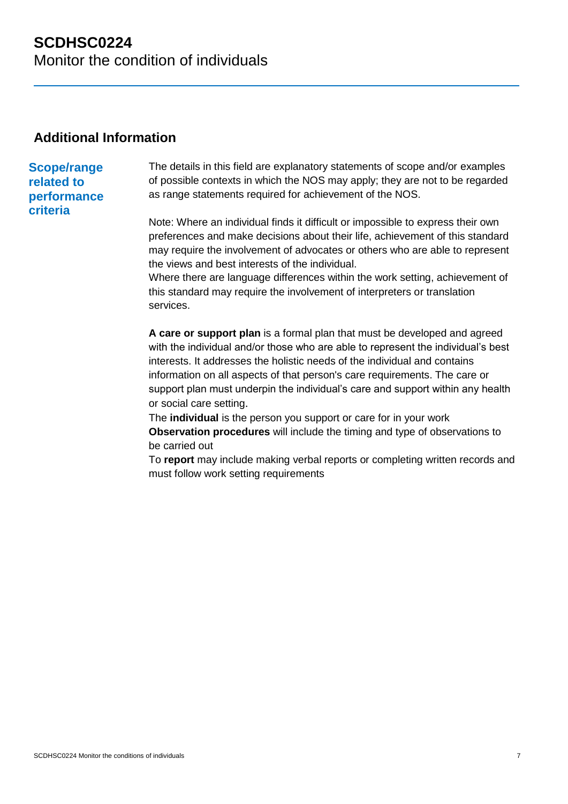### **Additional Information**

### **Scope/range related to performance criteria**

The details in this field are explanatory statements of scope and/or examples of possible contexts in which the NOS may apply; they are not to be regarded as range statements required for achievement of the NOS.

Note: Where an individual finds it difficult or impossible to express their own preferences and make decisions about their life, achievement of this standard may require the involvement of advocates or others who are able to represent the views and best interests of the individual.

Where there are language differences within the work setting, achievement of this standard may require the involvement of interpreters or translation services.

**A care or support plan** is a formal plan that must be developed and agreed with the individual and/or those who are able to represent the individual's best interests. It addresses the holistic needs of the individual and contains information on all aspects of that person's care requirements. The care or support plan must underpin the individual's care and support within any health or social care setting.

The **individual** is the person you support or care for in your work **Observation procedures** will include the timing and type of observations to be carried out

To **report** may include making verbal reports or completing written records and must follow work setting requirements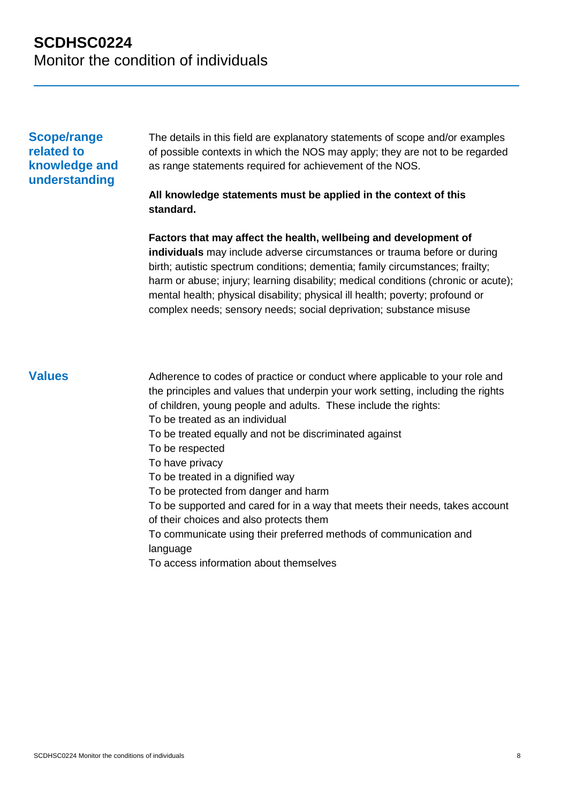### **Scope/range related to knowledge and understanding**

The details in this field are explanatory statements of scope and/or examples of possible contexts in which the NOS may apply; they are not to be regarded as range statements required for achievement of the NOS.

#### **All knowledge statements must be applied in the context of this standard.**

**Factors that may affect the health, wellbeing and development of individuals** may include adverse circumstances or trauma before or during birth; autistic spectrum conditions; dementia; family circumstances; frailty; harm or abuse; injury; learning disability; medical conditions (chronic or acute); mental health; physical disability; physical ill health; poverty; profound or complex needs; sensory needs; social deprivation; substance misuse

- **Values** Adherence to codes of practice or conduct where applicable to your role and the principles and values that underpin your work setting, including the rights of children, young people and adults. These include the rights:
	- To be treated as an individual
	- To be treated equally and not be discriminated against
	- To be respected
	- To have privacy
	- To be treated in a dignified way
	- To be protected from danger and harm
	- To be supported and cared for in a way that meets their needs, takes account of their choices and also protects them
	- To communicate using their preferred methods of communication and language
	- To access information about themselves